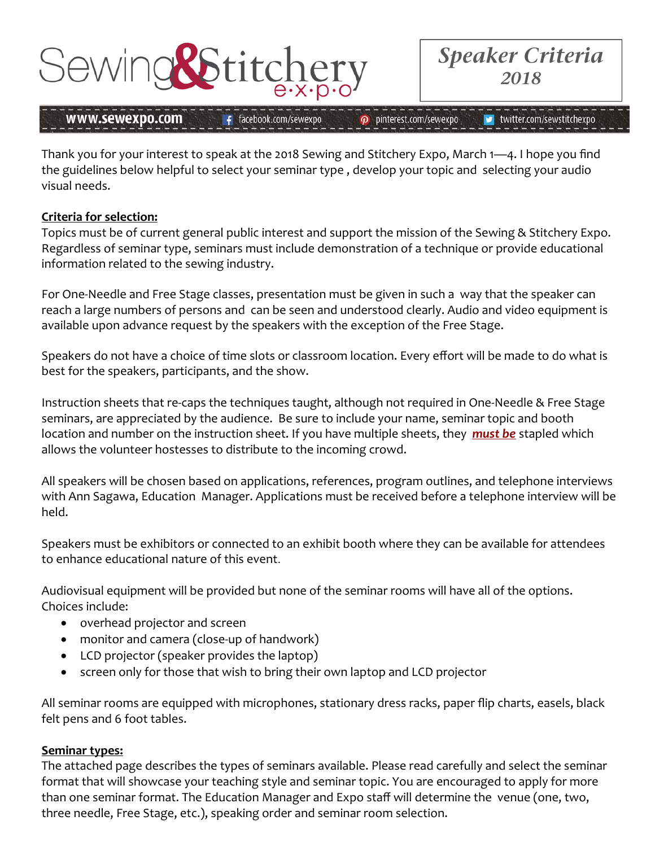

£.

facebook.com/sewexpo

*Speaker Criteria 2018* 

## www.sewexpo.com

p pinterest.com/sewexpo

### twitter.com/sewstitchexpo

Thank you for your interest to speak at the 2018 Sewing and Stitchery Expo, March 1—4. I hope you find the guidelines below helpful to select your seminar type , develop your topic and selecting your audio visual needs.

## **Criteria for selection:**

Topics must be of current general public interest and support the mission of the Sewing & Stitchery Expo. Regardless of seminar type, seminars must include demonstration of a technique or provide educational information related to the sewing industry.

For One‐Needle and Free Stage classes, presentation must be given in such a way that the speaker can reach a large numbers of persons and can be seen and understood clearly. Audio and video equipment is available upon advance request by the speakers with the exception of the Free Stage.

Speakers do not have a choice of time slots or classroom location. Every effort will be made to do what is best for the speakers, participants, and the show.

Instruction sheets that re‐caps the techniques taught, although not required in One‐Needle & Free Stage seminars, are appreciated by the audience. Be sure to include your name, seminar topic and booth location and number on the instruction sheet. If you have multiple sheets, they *must be* stapled which allows the volunteer hostesses to distribute to the incoming crowd.

All speakers will be chosen based on applications, references, program outlines, and telephone interviews with Ann Sagawa, Education Manager. Applications must be received before a telephone interview will be held.

Speakers must be exhibitors or connected to an exhibit booth where they can be available for attendees to enhance educational nature of this event.

Audiovisual equipment will be provided but none of the seminar rooms will have all of the options. Choices include:

- overhead projector and screen
- monitor and camera (close-up of handwork)
- LCD projector (speaker provides the laptop)
- screen only for those that wish to bring their own laptop and LCD projector

All seminar rooms are equipped with microphones, stationary dress racks, paper flip charts, easels, black felt pens and 6 foot tables.

## **Seminar types:**

The attached page describes the types of seminars available. Please read carefully and select the seminar format that will showcase your teaching style and seminar topic. You are encouraged to apply for more than one seminar format. The Education Manager and Expo staff will determine the venue (one, two, three needle, Free Stage, etc.), speaking order and seminar room selection.